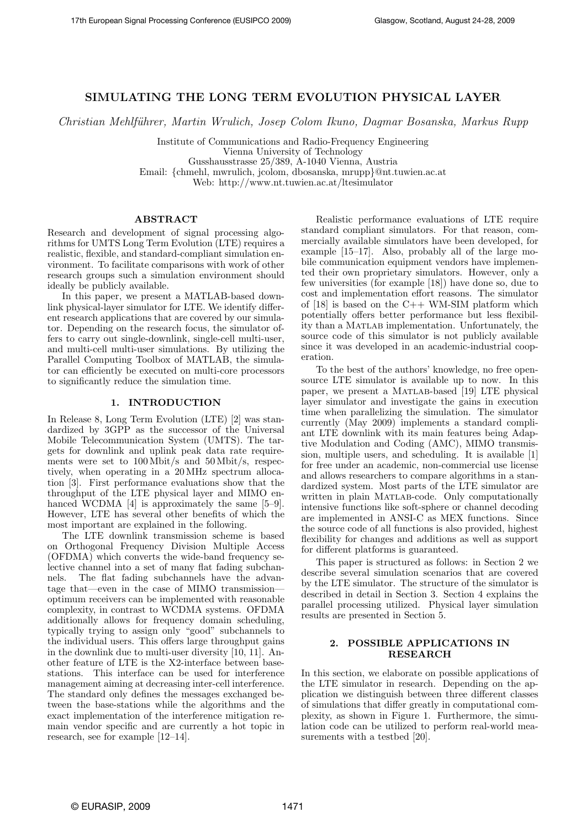# SIMULATING THE LONG TERM EVOLUTION PHYSICAL LAYER

Christian Mehlführer, Martin Wrulich, Josep Colom Ikuno, Dagmar Bosanska, Markus Rupp

Institute of Communications and Radio-Frequency Engineering

Vienna University of Technology

Gusshausstrasse 25/389, A-1040 Vienna, Austria

Email: {[chmehl,](mailto:chmehl@nt.tuwien.ac.at) [mwrulich,](mailto:mwrulich@nt.tuwien.ac.at) [jcolom,](mailto:jcolom@nt.tuwien.ac.at) [dbosanska,](mailto:dbosanska@nt.tuwien.ac.at) [mrupp](mailto:mrupp@nt.tuwien.ac.at)}@nt.tuwien.ac.at

Web:<http://www.nt.tuwien.ac.at/ltesimulator>

### ABSTRACT

Research and development of signal processing algorithms for UMTS Long Term Evolution (LTE) requires a realistic, flexible, and standard-compliant simulation environment. To facilitate comparisons with work of other research groups such a simulation environment should ideally be publicly available.

In this paper, we present a MATLAB-based downlink physical-layer simulator for LTE. We identify different research applications that are covered by our simulator. Depending on the research focus, the simulator offers to carry out single-downlink, single-cell multi-user, and multi-cell multi-user simulations. By utilizing the Parallel Computing Toolbox of MATLAB, the simulator can efficiently be executed on multi-core processors to significantly reduce the simulation time.

## 1. INTRODUCTION

In Release 8, Long Term Evolution (LTE) [\[2\]](#page-6-0) was standardized by 3GPP as the successor of the Universal Mobile Telecommunication System (UMTS). The targets for downlink and uplink peak data rate requirements were set to 100 Mbit/s and 50 Mbit/s, respectively, when operating in a 20 MHz spectrum allocation [\[3\]](#page-6-1). First performance evaluations show that the throughput of the LTE physical layer and MIMO en-hanced WCDMA [\[4\]](#page-6-2) is approximately the same [\[5–](#page-6-3)[9\]](#page-6-4). However, LTE has several other benefits of which the most important are explained in the following.

The LTE downlink transmission scheme is based on Orthogonal Frequency Division Multiple Access (OFDMA) which converts the wide-band frequency selective channel into a set of many flat fading subchannels. The flat fading subchannels have the advantage that—even in the case of MIMO transmission optimum receivers can be implemented with reasonable complexity, in contrast to WCDMA systems. OFDMA additionally allows for frequency domain scheduling, typically trying to assign only "good" subchannels to the individual users. This offers large throughput gains in the downlink due to multi-user diversity [\[10,](#page-6-5) [11\]](#page-6-6). Another feature of LTE is the X2-interface between basestations. This interface can be used for interference management aiming at decreasing inter-cell interference. The standard only defines the messages exchanged between the base-stations while the algorithms and the exact implementation of the interference mitigation remain vendor specific and are currently a hot topic in research, see for example [\[12–](#page-6-7)[14\]](#page-6-8).

Realistic performance evaluations of LTE require standard compliant simulators. For that reason, commercially available simulators have been developed, for example [\[15](#page-6-9)[–17\]](#page-6-10). Also, probably all of the large mobile communication equipment vendors have implemented their own proprietary simulators. However, only a few universities (for example [\[18\]](#page-6-11)) have done so, due to cost and implementation effort reasons. The simulator of  $[18]$  is based on the C++ WM-SIM platform which potentially offers better performance but less flexibility than a MATLAB implementation. Unfortunately, the source code of this simulator is not publicly available since it was developed in an academic-industrial cooperation.

To the best of the authors' knowledge, no free opensource LTE simulator is available up to now. In this paper, we present a Matlab-based [\[19\]](#page-6-12) LTE physical layer simulator and investigate the gains in execution time when parallelizing the simulation. The simulator currently (May 2009) implements a standard compliant LTE downlink with its main features being Adaptive Modulation and Coding (AMC), MIMO transmission, multiple users, and scheduling. It is available [\[1\]](#page-6-13) for free under an academic, non-commercial use license and allows researchers to compare algorithms in a standardized system. Most parts of the LTE simulator are written in plain MATLAB-code. Only computationally intensive functions like soft-sphere or channel decoding are implemented in ANSI-C as MEX functions. Since the source code of all functions is also provided, highest flexibility for changes and additions as well as support for different platforms is guaranteed.

This paper is structured as follows: in [Section 2](#page-0-0) we describe several simulation scenarios that are covered by the LTE simulator. The structure of the simulator is described in detail in [Section 3.](#page-1-0) [Section 4](#page-3-0) explains the parallel processing utilized. Physical layer simulation results are presented in [Section 5.](#page-4-0)

### <span id="page-0-0"></span>2. POSSIBLE APPLICATIONS IN RESEARCH

In this section, we elaborate on possible applications of the LTE simulator in research. Depending on the application we distinguish between three different classes of simulations that differ greatly in computational complexity, as shown in [Figure 1.](#page-1-1) Furthermore, the simulation code can be utilized to perform real-world measurements with a testbed  $[20]$ .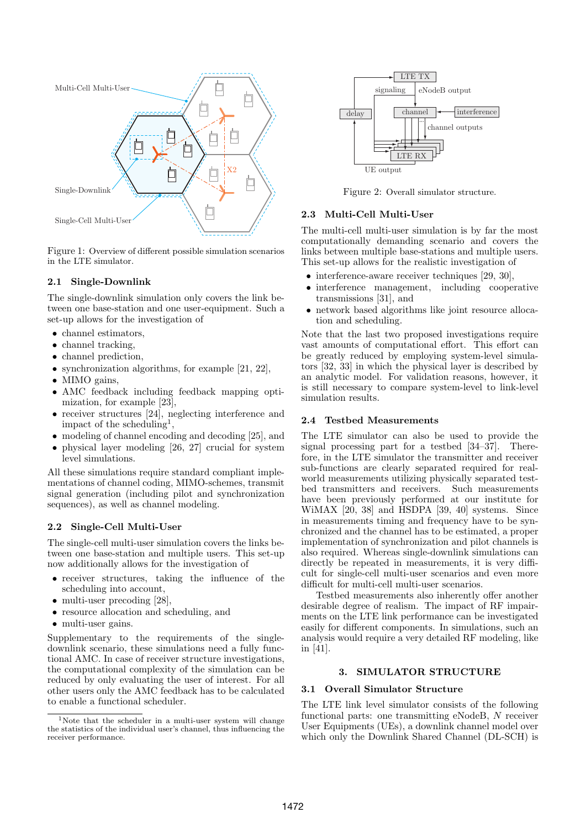

<span id="page-1-1"></span>Figure 1: Overview of different possible simulation scenarios in the LTE simulator.

## 2.1 Single-Downlink

The single-downlink simulation only covers the link between one base-station and one user-equipment. Such a set-up allows for the investigation of

- channel estimators,
- channel tracking,
- channel prediction,
- synchronization algorithms, for example [\[21,](#page-6-15) [22\]](#page-6-16),
- MIMO gains,
- AMC feedback including feedback mapping optimization, for example [\[23\]](#page-6-17),
- receiver structures [\[24\]](#page-6-18), neglecting interference and impact of the scheduling<sup>[1](#page-1-2)</sup>,
- modeling of channel encoding and decoding [\[25\]](#page-6-19), and
- physical layer modeling [\[26,](#page-6-20) [27\]](#page-6-21) crucial for system level simulations.

All these simulations require standard compliant implementations of channel coding, MIMO-schemes, transmit signal generation (including pilot and synchronization sequences), as well as channel modeling.

## 2.2 Single-Cell Multi-User

The single-cell multi-user simulation covers the links between one base-station and multiple users. This set-up now additionally allows for the investigation of

- receiver structures, taking the influence of the scheduling into account,
- multi-user precoding [\[28\]](#page-6-22),
- resource allocation and scheduling, and
- multi-user gains.

Supplementary to the requirements of the singledownlink scenario, these simulations need a fully functional AMC. In case of receiver structure investigations, the computational complexity of the simulation can be reduced by only evaluating the user of interest. For all other users only the AMC feedback has to be calculated to enable a functional scheduler.



<span id="page-1-3"></span>Figure 2: Overall simulator structure.

### 2.3 Multi-Cell Multi-User

The multi-cell multi-user simulation is by far the most computationally demanding scenario and covers the links between multiple base-stations and multiple users. This set-up allows for the realistic investigation of

- interference-aware receiver techniques [\[29,](#page-7-0) [30\]](#page-7-1),
- interference management, including cooperative transmissions [\[31\]](#page-7-2), and
- network based algorithms like joint resource allocation and scheduling.

Note that the last two proposed investigations require vast amounts of computational effort. This effort can be greatly reduced by employing system-level simulators [\[32,](#page-7-3) [33\]](#page-7-4) in which the physical layer is described by an analytic model. For validation reasons, however, it is still necessary to compare system-level to link-level simulation results.

## 2.4 Testbed Measurements

The LTE simulator can also be used to provide the signal processing part for a testbed [\[34](#page-7-5)[–37\]](#page-7-6). Therefore, in the LTE simulator the transmitter and receiver sub-functions are clearly separated required for realworld measurements utilizing physically separated testbed transmitters and receivers. Such measurements have been previously performed at our institute for WiMAX [\[20,](#page-6-14) [38\]](#page-7-7) and HSDPA [\[39,](#page-7-8) [40\]](#page-7-9) systems. Since in measurements timing and frequency have to be synchronized and the channel has to be estimated, a proper implementation of synchronization and pilot channels is also required. Whereas single-downlink simulations can directly be repeated in measurements, it is very difficult for single-cell multi-user scenarios and even more difficult for multi-cell multi-user scenarios.

Testbed measurements also inherently offer another desirable degree of realism. The impact of RF impairments on the LTE link performance can be investigated easily for different components. In simulations, such an analysis would require a very detailed RF modeling, like in [\[41\]](#page-7-10).

## 3. SIMULATOR STRUCTURE

### <span id="page-1-0"></span>3.1 Overall Simulator Structure

The LTE link level simulator consists of the following functional parts: one transmitting eNodeB, N receiver User Equipments (UEs), a downlink channel model over which only the Downlink Shared Channel (DL-SCH) is

<span id="page-1-2"></span><sup>&</sup>lt;sup>1</sup>Note that the scheduler in a multi-user system will change the statistics of the individual user's channel, thus influencing the receiver performance.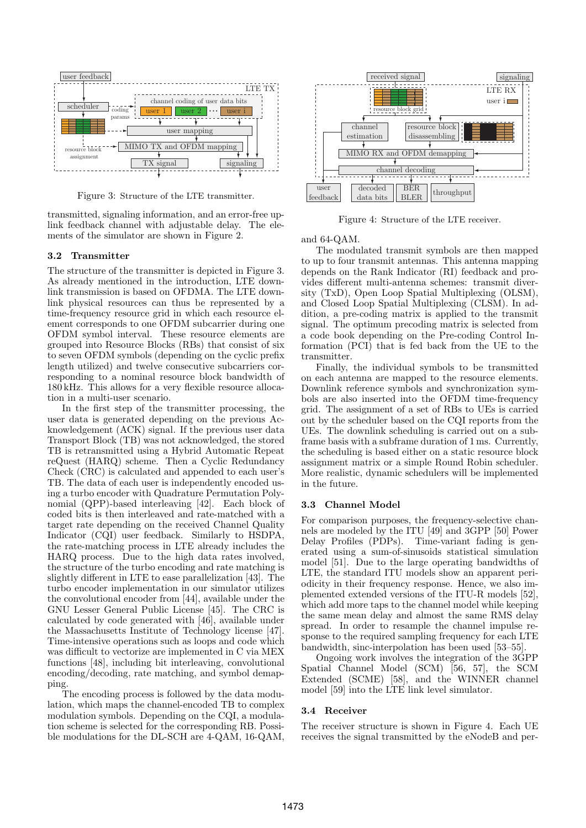

<span id="page-2-0"></span>Figure 3: Structure of the LTE transmitter.

transmitted, signaling information, and an error-free uplink feedback channel with adjustable delay. The elements of the simulator are shown in [Figure 2.](#page-1-3)

## 3.2 Transmitter

The structure of the transmitter is depicted in [Figure 3.](#page-2-0) As already mentioned in the introduction, LTE downlink transmission is based on OFDMA. The LTE downlink physical resources can thus be represented by a time-frequency resource grid in which each resource element corresponds to one OFDM subcarrier during one OFDM symbol interval. These resource elements are grouped into Resource Blocks (RBs) that consist of six to seven OFDM symbols (depending on the cyclic prefix length utilized) and twelve consecutive subcarriers corresponding to a nominal resource block bandwidth of 180 kHz. This allows for a very flexible resource allocation in a multi-user scenario.

In the first step of the transmitter processing, the user data is generated depending on the previous Acknowledgement (ACK) signal. If the previous user data Transport Block (TB) was not acknowledged, the stored TB is retransmitted using a Hybrid Automatic Repeat reQuest (HARQ) scheme. Then a Cyclic Redundancy Check (CRC) is calculated and appended to each user's TB. The data of each user is independently encoded using a turbo encoder with Quadrature Permutation Polynomial (QPP)-based interleaving [\[42\]](#page-7-11). Each block of coded bits is then interleaved and rate-matched with a target rate depending on the received Channel Quality Indicator (CQI) user feedback. Similarly to HSDPA, the rate-matching process in LTE already includes the HARQ process. Due to the high data rates involved, the structure of the turbo encoding and rate matching is slightly different in LTE to ease parallelization [\[43\]](#page-7-12). The turbo encoder implementation in our simulator utilizes the convolutional encoder from [\[44\]](#page-7-13), available under the GNU Lesser General Public License [\[45\]](#page-7-14). The CRC is calculated by code generated with [\[46\]](#page-7-15), available under the Massachusetts Institute of Technology license [\[47\]](#page-7-16). Time-intensive operations such as loops and code which was difficult to vectorize are implemented in C via MEX functions [\[48\]](#page-7-17), including bit interleaving, convolutional encoding/decoding, rate matching, and symbol demapping.

The encoding process is followed by the data modulation, which maps the channel-encoded TB to complex modulation symbols. Depending on the CQI, a modulation scheme is selected for the corresponding RB. Possible modulations for the DL-SCH are 4-QAM, 16-QAM,



<span id="page-2-1"></span>Figure 4: Structure of the LTE receiver.

### and 64-QAM.

The modulated transmit symbols are then mapped to up to four transmit antennas. This antenna mapping depends on the Rank Indicator (RI) feedback and provides different multi-antenna schemes: transmit diversity (TxD), Open Loop Spatial Multiplexing (OLSM), and Closed Loop Spatial Multiplexing (CLSM). In addition, a pre-coding matrix is applied to the transmit signal. The optimum precoding matrix is selected from a code book depending on the Pre-coding Control Information (PCI) that is fed back from the UE to the transmitter.

Finally, the individual symbols to be transmitted on each antenna are mapped to the resource elements. Downlink reference symbols and synchronization symbols are also inserted into the OFDM time-frequency grid. The assignment of a set of RBs to UEs is carried out by the scheduler based on the CQI reports from the UEs. The downlink scheduling is carried out on a subframe basis with a subframe duration of 1 ms. Currently, the scheduling is based either on a static resource block assignment matrix or a simple Round Robin scheduler. More realistic, dynamic schedulers will be implemented in the future.

### 3.3 Channel Model

For comparison purposes, the frequency-selective channels are modeled by the ITU [\[49\]](#page-7-18) and 3GPP [\[50\]](#page-7-19) Power Delay Profiles (PDPs). Time-variant fading is generated using a sum-of-sinusoids statistical simulation model [\[51\]](#page-7-20). Due to the large operating bandwidths of LTE, the standard ITU models show an apparent periodicity in their frequency response. Hence, we also implemented extended versions of the ITU-R models [\[52\]](#page-7-21), which add more taps to the channel model while keeping the same mean delay and almost the same RMS delay spread. In order to resample the channel impulse response to the required sampling frequency for each LTE bandwidth, sinc-interpolation has been used [\[53–](#page-7-22)[55\]](#page-7-23).

Ongoing work involves the integration of the 3GPP Spatial Channel Model (SCM) [\[56,](#page-7-24) [57\]](#page-7-25), the SCM Extended (SCME) [\[58\]](#page-7-26), and the WINNER channel model [\[59\]](#page-7-27) into the LTE link level simulator.

### 3.4 Receiver

The receiver structure is shown in [Figure 4.](#page-2-1) Each UE receives the signal transmitted by the eNodeB and per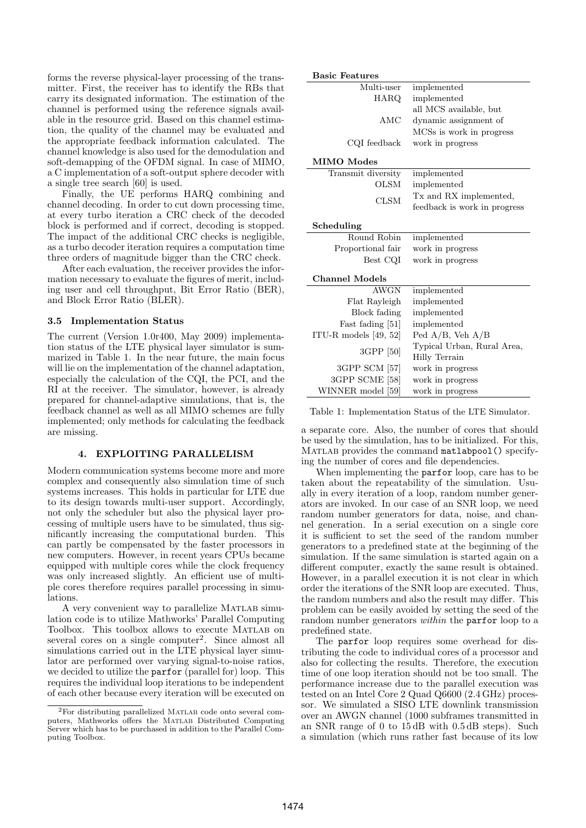forms the reverse physical-layer processing of the transmitter. First, the receiver has to identify the RBs that carry its designated information. The estimation of the channel is performed using the reference signals available in the resource grid. Based on this channel estimation, the quality of the channel may be evaluated and the appropriate feedback information calculated. The channel knowledge is also used for the demodulation and soft-demapping of the OFDM signal. In case of MIMO, a C implementation of a soft-output sphere decoder with a single tree search [\[60\]](#page-7-28) is used.

Finally, the UE performs HARQ combining and channel decoding. In order to cut down processing time, at every turbo iteration a CRC check of the decoded block is performed and if correct, decoding is stopped. The impact of the additional CRC checks is negligible, as a turbo decoder iteration requires a computation time three orders of magnitude bigger than the CRC check.

After each evaluation, the receiver provides the information necessary to evaluate the figures of merit, including user and cell throughput, Bit Error Ratio (BER), and Block Error Ratio (BLER).

#### 3.5 Implementation Status

The current (Version 1.0r400, May 2009) implementation status of the LTE physical layer simulator is summarized in Table 1. In the near future, the main focus will lie on the implementation of the channel adaptation, especially the calculation of the CQI, the PCI, and the RI at the receiver. The simulator, however, is already prepared for channel-adaptive simulations, that is, the feedback channel as well as all MIMO schemes are fully implemented; only methods for calculating the feedback are missing.

#### 4. EXPLOITING PARALLELISM

<span id="page-3-0"></span>Modern communication systems become more and more complex and consequently also simulation time of such systems increases. This holds in particular for LTE due to its design towards multi-user support. Accordingly, not only the scheduler but also the physical layer processing of multiple users have to be simulated, thus significantly increasing the computational burden. This can partly be compensated by the faster processors in new computers. However, in recent years CPUs became equipped with multiple cores while the clock frequency was only increased slightly. An efficient use of multiple cores therefore requires parallel processing in simulations.

A very convenient way to parallelize Matlab simulation code is to utilize Mathworks' Parallel Computing Toolbox. This toolbox allows to execute Matlab on several cores on a single computer<sup>[2](#page-3-1)</sup>. Since almost all simulations carried out in the LTE physical layer simulator are performed over varying signal-to-noise ratios, we decided to utilize the parfor (parallel for) loop. This requires the individual loop iterations to be independent of each other because every iteration will be executed on

| <b>Basic Features</b>   |                                                    |  |
|-------------------------|----------------------------------------------------|--|
| Multi-user              | implemented                                        |  |
| HARQ                    | implemented                                        |  |
|                         | all MCS available, but                             |  |
| AMC                     | dynamic assignment of                              |  |
|                         | MCSs is work in progress                           |  |
| CQI feedback            | work in progress                                   |  |
| MIMO Modes              |                                                    |  |
| Transmit diversity      | implemented                                        |  |
| <b>OLSM</b>             | implemented                                        |  |
| <b>CLSM</b>             | Tx and RX implemented,                             |  |
|                         | feedback is work in progress                       |  |
| Scheduling              |                                                    |  |
| Round Robin             | implemented                                        |  |
| Proportional fair       | work in progress                                   |  |
| Best CQI                | work in progress                                   |  |
| <b>Channel Models</b>   |                                                    |  |
| <b>AWGN</b>             | implemented                                        |  |
| Flat Rayleigh           | implemented                                        |  |
| Block fading            | implemented                                        |  |
| Fast fading [51]        | implemented                                        |  |
| ITU-R models $[49, 52]$ | Ped $A/B$ , Veh $A/B$                              |  |
| 3GPP [50]               | Typical Urban, Rural Area,<br><b>Hilly Terrain</b> |  |
| 3GPP SCM [57]           | work in progress                                   |  |
| 3GPP SCME [58]          | work in progress                                   |  |
| WINNER model [59]       | work in progress                                   |  |

Table 1: Implementation Status of the LTE Simulator.

a separate core. Also, the number of cores that should be used by the simulation, has to be initialized. For this, MATLAB provides the command matlabpool () specifying the number of cores and file dependencies.

When implementing the parfor loop, care has to be taken about the repeatability of the simulation. Usually in every iteration of a loop, random number generators are invoked. In our case of an SNR loop, we need random number generators for data, noise, and channel generation. In a serial execution on a single core it is sufficient to set the seed of the random number generators to a predefined state at the beginning of the simulation. If the same simulation is started again on a different computer, exactly the same result is obtained. However, in a parallel execution it is not clear in which order the iterations of the SNR loop are executed. Thus, the random numbers and also the result may differ. This problem can be easily avoided by setting the seed of the random number generators *within* the **parfor** loop to a predefined state.

The parfor loop requires some overhead for distributing the code to individual cores of a processor and also for collecting the results. Therefore, the execution time of one loop iteration should not be too small. The performance increase due to the parallel execution was tested on an Intel Core 2 Quad Q6600 (2.4 GHz) processor. We simulated a SISO LTE downlink transmission over an AWGN channel (1000 subframes transmitted in an SNR range of 0 to 15 dB with 0.5 dB steps). Such a simulation (which runs rather fast because of its low

<span id="page-3-1"></span><sup>&</sup>lt;sup>2</sup>For distributing parallelized MATLAB code onto several computers, Mathworks offers the Matlab Distributed Computing Server which has to be purchased in addition to the Parallel Computing Toolbox.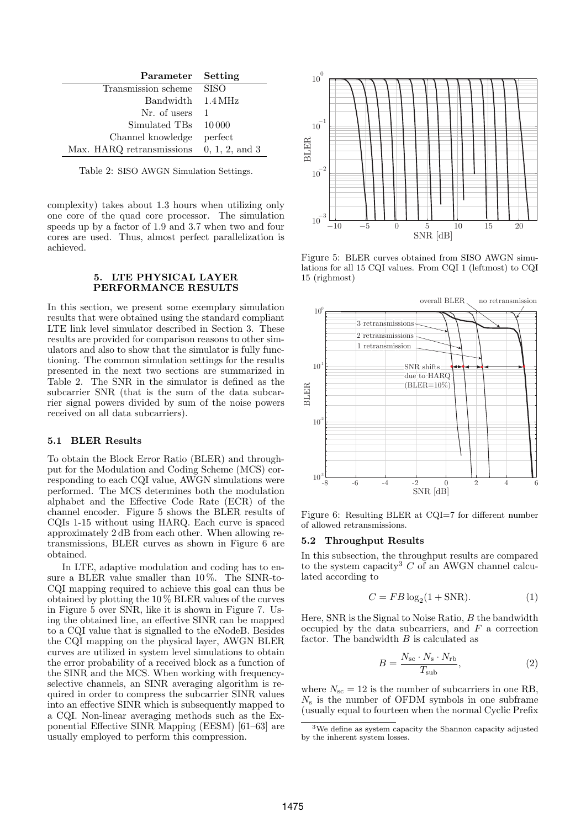| Parameter Setting                          |             |
|--------------------------------------------|-------------|
| Transmission scheme                        | <b>SISO</b> |
| Bandwidth 1.4 MHz                          |             |
| Nr. of users                               |             |
| Simulated TBs 10000                        |             |
| Channel knowledge                          | perfect     |
| Max. HARQ retransmissions $0, 1, 2,$ and 3 |             |

Table 2: SISO AWGN Simulation Settings.

complexity) takes about 1.3 hours when utilizing only one core of the quad core processor. The simulation speeds up by a factor of 1.9 and 3.7 when two and four cores are used. Thus, almost perfect parallelization is achieved.

#### 5. LTE PHYSICAL LAYER PERFORMANCE RESULTS

<span id="page-4-0"></span>In this section, we present some exemplary simulation results that were obtained using the standard compliant LTE link level simulator described in [Section 3.](#page-1-0) These results are provided for comparison reasons to other simulators and also to show that the simulator is fully functioning. The common simulation settings for the results presented in the next two sections are summarized in Table 2. The SNR in the simulator is defined as the subcarrier SNR (that is the sum of the data subcarrier signal powers divided by sum of the noise powers received on all data subcarriers).

#### 5.1 BLER Results

To obtain the Block Error Ratio (BLER) and throughput for the Modulation and Coding Scheme (MCS) corresponding to each CQI value, AWGN simulations were performed. The MCS determines both the modulation alphabet and the Effective Code Rate (ECR) of the channel encoder. [Figure 5](#page-4-1) shows the BLER results of CQIs 1-15 without using HARQ. Each curve is spaced approximately 2 dB from each other. When allowing retransmissions, BLER curves as shown in [Figure 6](#page-4-2) are obtained.

In LTE, adaptive modulation and coding has to ensure a BLER value smaller than 10 %. The SINR-to-CQI mapping required to achieve this goal can thus be obtained by plotting the 10 % BLER values of the curves in [Figure 5](#page-4-1) over SNR, like it is shown in [Figure 7.](#page-5-0) Using the obtained line, an effective SINR can be mapped to a CQI value that is signalled to the eNodeB. Besides the CQI mapping on the physical layer, AWGN BLER curves are utilized in system level simulations to obtain the error probability of a received block as a function of the SINR and the MCS. When working with frequencyselective channels, an SINR averaging algorithm is required in order to compress the subcarrier SINR values into an effective SINR which is subsequently mapped to a CQI. Non-linear averaging methods such as the Exponential Effective SINR Mapping (EESM) [\[61–](#page-7-29)[63\]](#page-7-30) are usually employed to perform this compression.



<span id="page-4-1"></span>Figure 5: BLER curves obtained from SISO AWGN simulations for all 15 CQI values. From CQI 1 (leftmost) to CQI 15 (righmost)



<span id="page-4-2"></span>Figure 6: Resulting BLER at CQI=7 for different number of allowed retransmissions.

#### 5.2 Throughput Results

In this subsection, the throughput results are compared to the system capacity<sup>[3](#page-4-3)</sup>  $C$  of an AWGN channel calculated according to

<span id="page-4-4"></span>
$$
C = FB \log_2(1 + \text{SNR}).\tag{1}
$$

Here, SNR is the Signal to Noise Ratio,  $B$  the bandwidth occupied by the data subcarriers, and  $F$  a correction factor. The bandwidth  $B$  is calculated as

$$
B = \frac{N_{\rm sc} \cdot N_{\rm s} \cdot N_{\rm rb}}{T_{\rm sub}},\tag{2}
$$

where  $N_{\rm sc} = 12$  is the number of subcarriers in one RB,  $N<sub>s</sub>$  is the number of OFDM symbols in one subframe (usually equal to fourteen when the normal Cyclic Prefix

<span id="page-4-3"></span><sup>3</sup>We define as system capacity the Shannon capacity adjusted by the inherent system losses.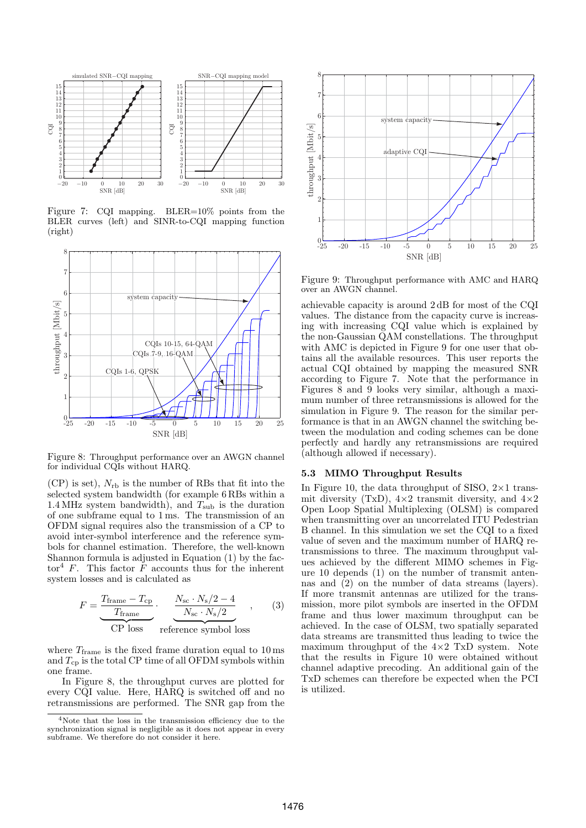

<span id="page-5-0"></span>Figure 7: CQI mapping. BLER=10% points from the BLER curves (left) and SINR-to-CQI mapping function (right)



<span id="page-5-2"></span>Figure 8: Throughput performance over an AWGN channel for individual CQIs without HARQ.

 $(CP)$  is set),  $N_{rb}$  is the number of RBs that fit into the selected system bandwidth (for example 6 RBs within a 1.4 MHz system bandwidth), and  $T_{\text{sub}}$  is the duration of one subframe equal to 1 ms. The transmission of an OFDM signal requires also the transmission of a CP to avoid inter-symbol interference and the reference symbols for channel estimation. Therefore, the well-known Shannon formula is adjusted in [Equation \(1\)](#page-4-4) by the fac-tor<sup>[4](#page-5-1)</sup> F. This factor F accounts thus for the inherent system losses and is calculated as

$$
F = \underbrace{\frac{T_{\text{frame}} - T_{\text{cp}}}{T_{\text{frame}}}}_{\text{CP loss}} \cdot \underbrace{\frac{N_{\text{sc}} \cdot N_{\text{s}}/2 - 4}{N_{\text{sc}} \cdot N_{\text{s}}/2}}_{\text{reference symbol loss}} , \qquad (3)
$$

reference symbol loss

where  $T_{\text{frame}}$  is the fixed frame duration equal to 10 ms and  $T_{cp}$  is the total CP time of all OFDM symbols within one frame.

In [Figure 8,](#page-5-2) the throughput curves are plotted for every CQI value. Here, HARQ is switched off and no retransmissions are performed. The SNR gap from the



<span id="page-5-3"></span>Figure 9: Throughput performance with AMC and HARQ over an AWGN channel.

achievable capacity is around 2 dB for most of the CQI values. The distance from the capacity curve is increasing with increasing CQI value which is explained by the non-Gaussian QAM constellations. The throughput with AMC is depicted in [Figure 9](#page-5-3) for one user that obtains all the available resources. This user reports the actual CQI obtained by mapping the measured SNR according to [Figure 7.](#page-5-0) Note that the performance in [Figures 8](#page-5-2) and [9](#page-5-3) looks very similar, although a maximum number of three retransmissions is allowed for the simulation in [Figure 9.](#page-5-3) The reason for the similar performance is that in an AWGN channel the switching between the modulation and coding schemes can be done perfectly and hardly any retransmissions are required (although allowed if necessary).

## 5.3 MIMO Throughput Results

In [Figure 10,](#page-6-23) the data throughput of SISO,  $2\times1$  transmit diversity (TxD),  $4\times2$  transmit diversity, and  $4\times2$ Open Loop Spatial Multiplexing (OLSM) is compared when transmitting over an uncorrelated ITU Pedestrian B channel. In this simulation we set the CQI to a fixed value of seven and the maximum number of HARQ retransmissions to three. The maximum throughput values achieved by the different MIMO schemes in [Fig](#page-6-23)[ure 10](#page-6-23) depends (1) on the number of transmit antennas and (2) on the number of data streams (layers). If more transmit antennas are utilized for the transmission, more pilot symbols are inserted in the OFDM frame and thus lower maximum throughput can be achieved. In the case of OLSM, two spatially separated data streams are transmitted thus leading to twice the maximum throughput of the  $4\times2$  TxD system. Note that the results in [Figure 10](#page-6-23) were obtained without channel adaptive precoding. An additional gain of the TxD schemes can therefore be expected when the PCI is utilized.

<span id="page-5-1"></span><sup>4</sup>Note that the loss in the transmission efficiency due to the synchronization signal is negligible as it does not appear in every subframe. We therefore do not consider it here.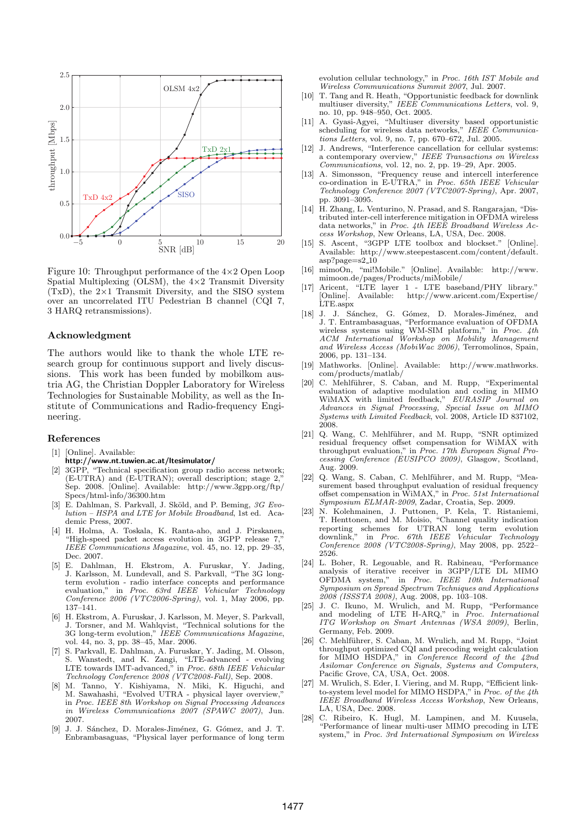

<span id="page-6-23"></span>Figure 10: Throughput performance of the 4×2 Open Loop Spatial Multiplexing (OLSM), the 4×2 Transmit Diversity  $(TxD)$ , the  $2\times1$  Transmit Diversity, and the SISO system over an uncorrelated ITU Pedestrian B channel (CQI 7, 3 HARQ retransmissions).

#### Acknowledgment

The authors would like to thank the whole LTE research group for continuous support and lively discussions. This work has been funded by mobilkom austria AG, the Christian Doppler Laboratory for Wireless Technologies for Sustainable Mobility, as well as the Institute of Communications and Radio-frequency Engineering.

#### References

- <span id="page-6-13"></span>[1] [Online]. Available:
- <http://www.nt.tuwien.ac.at/ltesimulator/>
- <span id="page-6-0"></span>[2] 3GPP, "Technical specification group radio access network; (E-UTRA) and (E-UTRAN); overall description; stage 2," Sep. 2008. [Online]. Available: [http://www.3gpp.org/ftp/](http://www.3gpp.org/ftp/Specs/html-info/36300.htm) [Specs/html-info/36300.htm](http://www.3gpp.org/ftp/Specs/html-info/36300.htm)
- <span id="page-6-1"></span>[3] E. Dahlman, S. Parkvall, J. Sköld, and P. Beming, 3G Evolution – HSPA and LTE for Mobile Broadband, 1st ed. Academic Press, 2007.
- <span id="page-6-2"></span>[4] H. Holma, A. Toskala, K. Ranta-aho, and J. Pirskanen, "High-speed packet access evolution in 3GPP release 7," IEEE Communications Magazine, vol. 45, no. 12, pp. 29–35, Dec. 2007.
- <span id="page-6-3"></span>[5] E. Dahlman, H. Ekstrom, A. Furuskar, Y. Jading, J. Karlsson, M. Lundevall, and S. Parkvall, "The 3G longterm evolution - radio interface concepts and performance evaluation," in Proc. 63rd IEEE Vehicular Technology Conference 2006 (VTC2006-Spring), vol. 1, May 2006, pp. 137–141.
- [6] H. Ekstrom, A. Furuskar, J. Karlsson, M. Meyer, S. Parkvall, J. Torsner, and M. Wahlqvist, "Technical solutions for the 3G long-term evolution," IEEE Communications Magazine, vol. 44, no. 3, pp. 38–45, Mar. 2006.
- [7] S. Parkvall, E. Dahlman, A. Furuskar, Y. Jading, M. Olsson, S. Wanstedt, and K. Zangi, "LTE-advanced - evolving LTE towards IMT-advanced," in Proc. 68th IEEE Vehicular Technology Conference 2008 (VTC2008-Fall), Sep. 2008.
- [8] M. Tanno, Y. Kishiyama, N. Miki, K. Higuchi, and M. Sawahashi, "Evolved UTRA - physical layer overview," in Proc. IEEE 8th Workshop on Signal Processing Advances in Wireless Communications 2007 (SPAWC 2007), Jun. 2007.
- <span id="page-6-4"></span>[9] J. J. Sánchez, D. Morales-Jiménez, G. Gómez, and J. T. Enbrambasaguas, "Physical layer performance of long term

evolution cellular technology," in Proc. 16th IST Mobile and Wireless Communications Summit 2007, Jul. 2007.

- <span id="page-6-5"></span>[10] T. Tang and R. Heath, "Opportunistic feedback for downlink multiuser diversity," IEEE Communications Letters, vol. 9, no. 10, pp. 948–950, Oct. 2005.
- <span id="page-6-6"></span>[11] A. Gyasi-Agyei, "Multiuser diversity based opportunistic scheduling for wireless data networks," IEEE Communications Letters, vol. 9, no. 7, pp. 670–672, Jul. 2005.
- <span id="page-6-7"></span>[12] J. Andrews, "Interference cancellation for cellular systems: a contemporary overview," IEEE Transactions on Wireless Communications, vol. 12, no. 2, pp. 19–29, Apr. 2005.
- [13] A. Simonsson, "Frequency reuse and intercell interference co-ordination in E-UTRA," in Proc. 65th IEEE Vehicular Technology Conference 2007 (VTC2007-Spring), Apr. 2007, pp. 3091–3095.
- <span id="page-6-8"></span>[14] H. Zhang, L. Venturino, N. Prasad, and S. Rangarajan, "Distributed inter-cell interference mitigation in OFDMA wireless data networks," in Proc. 4th IEEE Broadband Wireless Access Workshop, New Orleans, LA, USA, Dec. 2008.
- <span id="page-6-9"></span>[15] S. Ascent, "3GPP LTE toolbox and blockset." [Online].  $\large \bf Available: \quad \ \ \, http://www.steepestascent.com/content/default.$  $\large \bf Available: \quad \ \ \, http://www.steepestascent.com/content/default.$ [asp?page=s2](http://www.steepestascent.com/content/default.asp?page=s2_10) 10
- [16] mimoOn, "mi!Mobile." [Online]. Available: [http://www.](http://www.mimoon.de/pages/Products/miMobile/) [mimoon.de/pages/Products/miMobile/](http://www.mimoon.de/pages/Products/miMobile/)
- <span id="page-6-10"></span>[17] Aricent, "LTE layer 1 - LTE baseband/PHY library." [Online]. Available: [http://www.aricent.com/Expertise/](http://www.aricent.com/Expertise/LTE.aspx) [LTE.aspx](http://www.aricent.com/Expertise/LTE.aspx)
- <span id="page-6-11"></span>[18] J. J. Sánchez, G. Gómez, D. Morales-Jiménez, and J. T. Entrambasaguas, "Performance evaluation of OFDMA wireless systems using WM-SIM platform," in Proc. 4th ACM International Workshop on Mobility Management and Wireless Access (MobiWac 2006), Terromolinos, Spain,
- <span id="page-6-12"></span>2006, pp. 131–134. [19] Mathworks. [Online]. Available: [http://www.mathworks.](http://www.mathworks.com/products/matlab/) [com/products/matlab/](http://www.mathworks.com/products/matlab/)
- <span id="page-6-14"></span>[20] C. Mehlführer, S. Caban, and M. Rupp, "Experimental evaluation of adaptive modulation and coding in MIMO WiMAX with limited feedback," EURASIP Journal on Advances in Signal Processing, Special Issue on MIMO Systems with Limited Feedback, vol. 2008, Article ID 837102, 2008.
- <span id="page-6-15"></span>[21] Q. Wang, C. Mehlführer, and M. Rupp, "SNR optimized residual frequency offset compensation for WiMAX with throughput evaluation," in Proc. 17th European Signal Processing Conference (EUSIPCO 2009), Glasgow, Scotland, Aug. 2009.
- <span id="page-6-16"></span>[22] Q. Wang, S. Caban, C. Mehlführer, and M. Rupp, "Measurement based throughput evaluation of residual frequency offset compensation in WiMAX," in Proc. 51st International Symposium ELMAR-2009, Zadar, Croatia, Sep. 2009.
- <span id="page-6-17"></span>[23] N. Kolehmainen, J. Puttonen, P. Kela, T. Ristaniemi, T. Henttonen, and M. Moisio, "Channel quality indication reporting schemes for UTRAN long term evolution downlink," in Proc. 67th IEEE Vehicular Technology Conference 2008 (VTC2008-Spring), May 2008, pp. 2522– 2526.
- <span id="page-6-18"></span>[24] L. Boher, R. Legouable, and R. Rabineau, "Performance analysis of iterative receiver in 3GPP/LTE DL MIMO OFDMA system," in Proc. IEEE 10th International IEEE 10th International Symposium on Spread Spectrum Techniques and Applications 2008 (ISSSTA 2008), Aug. 2008, pp. 103–108.
- <span id="page-6-19"></span>[25] J. C. Ikuno, M. Wrulich, and M. Rupp, "Performance and modeling of LTE H-ARQ," in Proc. International ITG Workshop on Smart Antennas (WSA 2009), Berlin, Germany, Feb. 2009.
- <span id="page-6-20"></span>[26] C. Mehlführer, S. Caban, M. Wrulich, and M. Rupp, "Joint throughput optimized CQI and precoding weight calculation for MIMO HSDPA," in Conference Record of the 42nd Asilomar Conference on Signals, Systems and Computers, Pacific Grove, CA, USA, Oct. 2008.
- <span id="page-6-21"></span>[27] M. Wrulich, S. Eder, I. Viering, and M. Rupp, "Efficient linkto-system level model for MIMO HSDPA," in Proc. of the 4th IEEE Broadband Wireless Access Workshop, New Orleans, LA, USA, Dec. 2008.
- <span id="page-6-22"></span>[28] C. Ribeiro, K. Hugl, M. Lampinen, and M. Kuusela, "Performance of linear multi-user MIMO precoding in LTE system," in Proc. 3rd International Symposium on Wireless